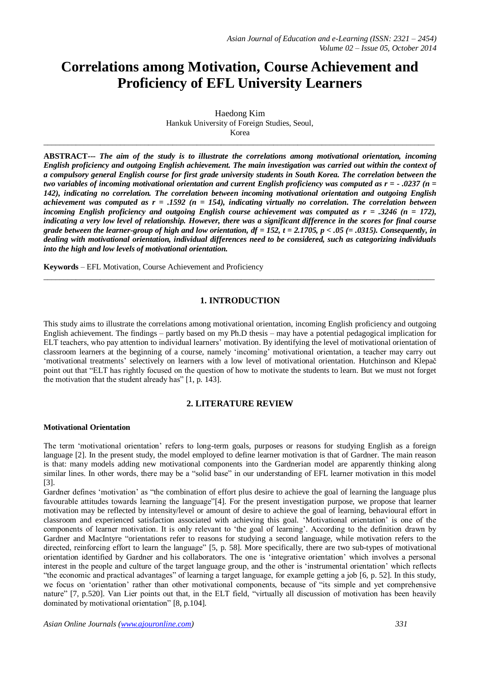# **Correlations among Motivation, Course Achievement and Proficiency of EFL University Learners**

Haedong Kim Hankuk University of Foreign Studies, Seoul, Korea

 $\_$  ,  $\_$  ,  $\_$  ,  $\_$  ,  $\_$  ,  $\_$  ,  $\_$  ,  $\_$  ,  $\_$  ,  $\_$  ,  $\_$  ,  $\_$  ,  $\_$  ,  $\_$  ,  $\_$  ,  $\_$  ,  $\_$  ,  $\_$  ,  $\_$  ,  $\_$  ,  $\_$  ,  $\_$  ,  $\_$  ,  $\_$  ,  $\_$  ,  $\_$  ,  $\_$  ,  $\_$  ,  $\_$  ,  $\_$  ,  $\_$  ,  $\_$  ,  $\_$  ,  $\_$  ,  $\_$  ,  $\_$  ,  $\_$  ,

**ABSTRACT---** *The aim of the study is to illustrate the correlations among motivational orientation, incoming English proficiency and outgoing English achievement. The main investigation was carried out within the context of a compulsory general English course for first grade university students in South Korea. The correlation between the two variables of incoming motivational orientation and current English proficiency was computed as r = - .0237 (n = 142), indicating no correlation. The correlation between incoming motivational orientation and outgoing English achievement was computed as r = .1592 (n = 154), indicating virtually no correlation. The correlation between incoming English proficiency and outgoing English course achievement was computed as r = .3246 (n = 172), indicating a very low level of relationship. However, there was a significant difference in the scores for final course grade between the learner-group of high and low orientation, df = 152, t = 2.1705, p < .05 (= .0315). Consequently, in dealing with motivational orientation, individual differences need to be considered, such as categorizing individuals into the high and low levels of motivational orientation.*

**Keywords** – EFL Motivation, Course Achievement and Proficiency

# **1. INTRODUCTION**

 $\_$  ,  $\_$  ,  $\_$  ,  $\_$  ,  $\_$  ,  $\_$  ,  $\_$  ,  $\_$  ,  $\_$  ,  $\_$  ,  $\_$  ,  $\_$  ,  $\_$  ,  $\_$  ,  $\_$  ,  $\_$  ,  $\_$  ,  $\_$  ,  $\_$  ,  $\_$  ,  $\_$  ,  $\_$  ,  $\_$  ,  $\_$  ,  $\_$  ,  $\_$  ,  $\_$  ,  $\_$  ,  $\_$  ,  $\_$  ,  $\_$  ,  $\_$  ,  $\_$  ,  $\_$  ,  $\_$  ,  $\_$  ,  $\_$  ,

This study aims to illustrate the correlations among motivational orientation, incoming English proficiency and outgoing English achievement. The findings – partly based on my Ph.D thesis – may have a potential pedagogical implication for ELT teachers, who pay attention to individual learners' motivation. By identifying the level of motivational orientation of classroom learners at the beginning of a course, namely 'incoming' motivational orientation, a teacher may carry out 'motivational treatments' selectively on learners with a low level of motivational orientation. Hutchinson and Klepač point out that "ELT has rightly focused on the question of how to motivate the students to learn. But we must not forget the motivation that the student already has" [1, p. 143].

# **2. LITERATURE REVIEW**

# **Motivational Orientation**

The term 'motivational orientation' refers to long-term goals, purposes or reasons for studying English as a foreign language [2]. In the present study, the model employed to define learner motivation is that of Gardner. The main reason is that: many models adding new motivational components into the Gardnerian model are apparently thinking along similar lines. In other words, there may be a "solid base" in our understanding of EFL learner motivation in this model [3].

Gardner defines 'motivation' as "the combination of effort plus desire to achieve the goal of learning the language plus favourable attitudes towards learning the language"[4]. For the present investigation purpose, we propose that learner motivation may be reflected by intensity/level or amount of desire to achieve the goal of learning, behavioural effort in classroom and experienced satisfaction associated with achieving this goal. 'Motivational orientation' is one of the components of learner motivation. It is only relevant to 'the goal of learning'. According to the definition drawn by Gardner and MacIntyre "orientations refer to reasons for studying a second language, while motivation refers to the directed, reinforcing effort to learn the language" [5, p. 58]. More specifically, there are two sub-types of motivational orientation identified by Gardner and his collaborators. The one is 'integrative orientation' which involves a personal interest in the people and culture of the target language group, and the other is 'instrumental orientation' which reflects "the economic and practical advantages" of learning a target language, for example getting a job [6, p. 52]. In this study, we focus on 'orientation' rather than other motivational components, because of "its simple and yet comprehensive nature" [7, p.520]. Van Lier points out that, in the ELT field, "virtually all discussion of motivation has been heavily dominated by motivational orientation" [8, p.104].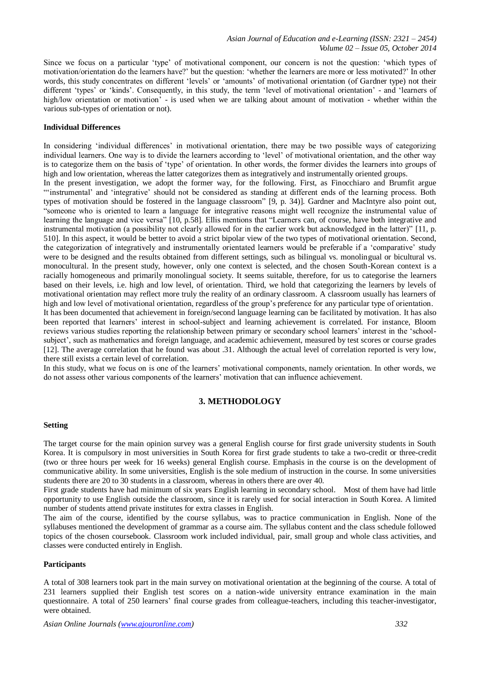Since we focus on a particular 'type' of motivational component, our concern is not the question: 'which types of motivation/orientation do the learners have?' but the question: 'whether the learners are more or less motivated?' In other words, this study concentrates on different 'levels' or 'amounts' of motivational orientation (of Gardner type) not their different 'types' or 'kinds'. Consequently, in this study, the term 'level of motivational orientation' - and 'learners of high/low orientation or motivation' - is used when we are talking about amount of motivation - whether within the various sub-types of orientation or not).

# **Individual Differences**

In considering 'individual differences' in motivational orientation, there may be two possible ways of categorizing individual learners. One way is to divide the learners according to 'level' of motivational orientation, and the other way is to categorize them on the basis of 'type' of orientation. In other words, the former divides the learners into groups of high and low orientation, whereas the latter categorizes them as integratively and instrumentally oriented groups.

In the present investigation, we adopt the former way, for the following. First, as Finocchiaro and Brumfit argue "'instrumental' and 'integrative' should not be considered as standing at different ends of the learning process. Both types of motivation should be fostered in the language classroom" [9, p. 34)]. Gardner and MacIntyre also point out, "someone who is oriented to learn a language for integrative reasons might well recognize the instrumental value of learning the language and vice versa" [10, p.58]. Ellis mentions that "Learners can, of course, have both integrative and instrumental motivation (a possibility not clearly allowed for in the earlier work but acknowledged in the latter)" [11, p. 510]. In this aspect, it would be better to avoid a strict bipolar view of the two types of motivational orientation. Second, the categorization of integratively and instrumentally orientated learners would be preferable if a 'comparative' study were to be designed and the results obtained from different settings, such as bilingual vs. monolingual or bicultural vs. monocultural. In the present study, however, only one context is selected, and the chosen South-Korean context is a racially homogeneous and primarily monolingual society. It seems suitable, therefore, for us to categorise the learners based on their levels, i.e. high and low level, of orientation. Third, we hold that categorizing the learners by levels of motivational orientation may reflect more truly the reality of an ordinary classroom. A classroom usually has learners of high and low level of motivational orientation, regardless of the group's preference for any particular type of orientation.

It has been documented that achievement in foreign/second language learning can be facilitated by motivation. It has also been reported that learners' interest in school-subject and learning achievement is correlated. For instance, Bloom reviews various studies reporting the relationship between primary or secondary school learners' interest in the 'schoolsubject', such as mathematics and foreign language, and academic achievement, measured by test scores or course grades [12]. The average correlation that he found was about .31. Although the actual level of correlation reported is very low, there still exists a certain level of correlation.

In this study, what we focus on is one of the learners' motivational components, namely orientation. In other words, we do not assess other various components of the learners' motivation that can influence achievement.

# **3. METHODOLOGY**

## **Setting**

The target course for the main opinion survey was a general English course for first grade university students in South Korea. It is compulsory in most universities in South Korea for first grade students to take a two-credit or three-credit (two or three hours per week for 16 weeks) general English course. Emphasis in the course is on the development of communicative ability. In some universities, English is the sole medium of instruction in the course. In some universities students there are 20 to 30 students in a classroom, whereas in others there are over 40.

First grade students have had minimum of six years English learning in secondary school. Most of them have had little opportunity to use English outside the classroom, since it is rarely used for social interaction in South Korea. A limited number of students attend private institutes for extra classes in English.

The aim of the course, identified by the course syllabus, was to practice communication in English. None of the syllabuses mentioned the development of grammar as a course aim. The syllabus content and the class schedule followed topics of the chosen coursebook. Classroom work included individual, pair, small group and whole class activities, and classes were conducted entirely in English.

## **Participants**

A total of 308 learners took part in the main survey on motivational orientation at the beginning of the course. A total of 231 learners supplied their English test scores on a nation-wide university entrance examination in the main questionnaire. A total of 250 learners' final course grades from colleague-teachers, including this teacher-investigator, were obtained.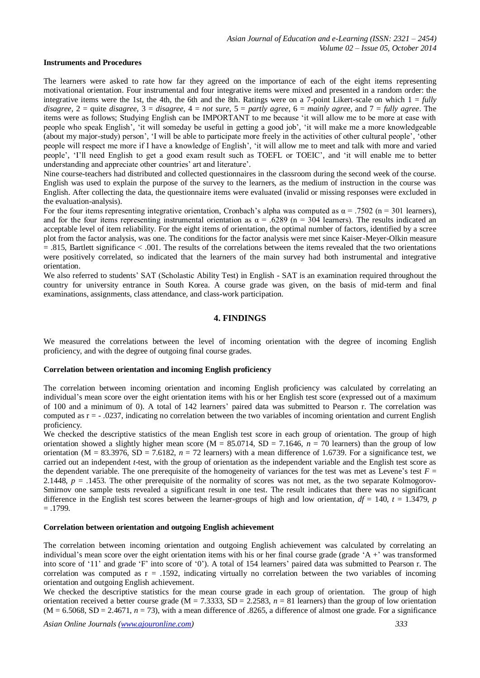#### **Instruments and Procedures**

The learners were asked to rate how far they agreed on the importance of each of the eight items representing motivational orientation. Four instrumental and four integrative items were mixed and presented in a random order: the integrative items were the 1st, the 4th, the 6th and the 8th. Ratings were on a 7-point Likert-scale on which  $1 = \frac{full}{y}$ *disagree*, 2 = quite *disagree*, 3 = *disagree,* 4 = *not sure*, 5 = *partly agree*, 6 = *mainly agree*, and 7 = *fully agree*. The items were as follows; Studying English can be IMPORTANT to me because 'it will allow me to be more at ease with people who speak English', 'it will someday be useful in getting a good job', 'it will make me a more knowledgeable (about my major-study) person', 'I will be able to participate more freely in the activities of other cultural people', 'other people will respect me more if I have a knowledge of English', 'it will allow me to meet and talk with more and varied people', 'I'll need English to get a good exam result such as TOEFL or TOEIC', and 'it will enable me to better understanding and appreciate other countries' art and literature'.

Nine course-teachers had distributed and collected questionnaires in the classroom during the second week of the course. English was used to explain the purpose of the survey to the learners, as the medium of instruction in the course was English. After collecting the data, the questionnaire items were evaluated (invalid or missing responses were excluded in the evaluation-analysis).

For the four items representing integrative orientation, Cronbach's alpha was computed as  $\alpha = .7502$  (n = 301 learners), and for the four items representing instrumental orientation as  $\alpha$  = .6289 (n = 304 learners). The results indicated an acceptable level of item reliability. For the eight items of orientation, the optimal number of factors, identified by a scree plot from the factor analysis, was one. The conditions for the factor analysis were met since Kaiser-Meyer-Olkin measure = .815, Bartlett significance < .001. The results of the correlations between the items revealed that the two orientations were positively correlated, so indicated that the learners of the main survey had both instrumental and integrative orientation.

We also referred to students' SAT (Scholastic Ability Test) in English - SAT is an examination required throughout the country for university entrance in South Korea. A course grade was given, on the basis of mid-term and final examinations, assignments, class attendance, and class-work participation.

## **4. FINDINGS**

We measured the correlations between the level of incoming orientation with the degree of incoming English proficiency, and with the degree of outgoing final course grades.

#### **Correlation between orientation and incoming English proficiency**

The correlation between incoming orientation and incoming English proficiency was calculated by correlating an individual's mean score over the eight orientation items with his or her English test score (expressed out of a maximum of 100 and a minimum of 0). A total of 142 learners' paired data was submitted to Pearson r. The correlation was computed as r = - .0237, indicating no correlation between the two variables of incoming orientation and current English proficiency.

We checked the descriptive statistics of the mean English test score in each group of orientation. The group of high orientation showed a slightly higher mean score ( $M = 85.0714$ ,  $SD = 7.1646$ ,  $n = 70$  learners) than the group of low orientation ( $M = 83.3976$ ,  $SD = 7.6182$ ,  $n = 72$  learners) with a mean difference of 1.6739. For a significance test, we carried out an independent *t*-test, with the group of orientation as the independent variable and the English test score as the dependent variable. The one prerequisite of the homogeneity of variances for the test was met as Levene's test  $F =$ 2.1448,  $p = 0.1453$ . The other prerequisite of the normality of scores was not met, as the two separate Kolmogorov-Smirnov one sample tests revealed a significant result in one test. The result indicates that there was no significant difference in the English test scores between the learner-groups of high and low orientation,  $df = 140$ ,  $t = 1.3479$ , *p*  $=.1799.$ 

## **Correlation between orientation and outgoing English achievement**

The correlation between incoming orientation and outgoing English achievement was calculated by correlating an individual's mean score over the eight orientation items with his or her final course grade (grade 'A +' was transformed into score of '11' and grade 'F' into score of '0'). A total of 154 learners' paired data was submitted to Pearson r. The correlation was computed as  $r = 0.1592$ , indicating virtually no correlation between the two variables of incoming orientation and outgoing English achievement.

We checked the descriptive statistics for the mean course grade in each group of orientation. The group of high orientation received a better course grade ( $M = 7.3333$ ,  $SD = 2.2583$ ,  $n = 81$  learners) than the group of low orientation  $(M = 6.5068, SD = 2.4671, n = 73)$ , with a mean difference of .8265, a difference of almost one grade. For a significance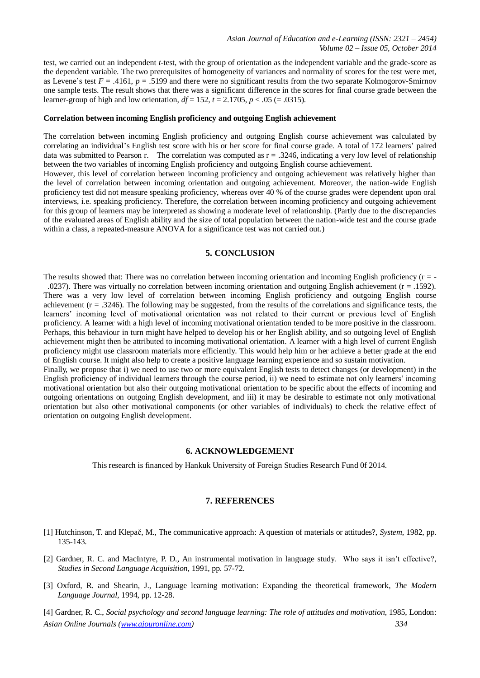test, we carried out an independent *t*-test, with the group of orientation as the independent variable and the grade-score as the dependent variable. The two prerequisites of homogeneity of variances and normality of scores for the test were met, as Levene's test  $F = .4161$ ,  $p = .5199$  and there were no significant results from the two separate Kolmogorov-Smirnov one sample tests. The result shows that there was a significant difference in the scores for final course grade between the learner-group of high and low orientation,  $df = 152$ ,  $t = 2.1705$ ,  $p < .05$  (= .0315).

## **Correlation between incoming English proficiency and outgoing English achievement**

The correlation between incoming English proficiency and outgoing English course achievement was calculated by correlating an individual's English test score with his or her score for final course grade. A total of 172 learners' paired data was submitted to Pearson r. The correlation was computed as  $r = 0.3246$ , indicating a very low level of relationship between the two variables of incoming English proficiency and outgoing English course achievement.

However, this level of correlation between incoming proficiency and outgoing achievement was relatively higher than the level of correlation between incoming orientation and outgoing achievement. Moreover, the nation-wide English proficiency test did not measure speaking proficiency, whereas over 40 % of the course grades were dependent upon oral interviews, i.e. speaking proficiency. Therefore, the correlation between incoming proficiency and outgoing achievement for this group of learners may be interpreted as showing a moderate level of relationship. (Partly due to the discrepancies of the evaluated areas of English ability and the size of total population between the nation-wide test and the course grade within a class, a repeated-measure ANOVA for a significance test was not carried out.)

## **5. CONCLUSION**

The results showed that: There was no correlation between incoming orientation and incoming English proficiency  $(r = -1)$ 

.0237). There was virtually no correlation between incoming orientation and outgoing English achievement  $(r = .1592)$ . There was a very low level of correlation between incoming English proficiency and outgoing English course achievement  $(r = .3246)$ . The following may be suggested, from the results of the correlations and significance tests, the learners' incoming level of motivational orientation was not related to their current or previous level of English proficiency. A learner with a high level of incoming motivational orientation tended to be more positive in the classroom. Perhaps, this behaviour in turn might have helped to develop his or her English ability, and so outgoing level of English achievement might then be attributed to incoming motivational orientation. A learner with a high level of current English proficiency might use classroom materials more efficiently. This would help him or her achieve a better grade at the end of English course. It might also help to create a positive language learning experience and so sustain motivation.

Finally, we propose that i) we need to use two or more equivalent English tests to detect changes (or development) in the English proficiency of individual learners through the course period, ii) we need to estimate not only learners' incoming motivational orientation but also their outgoing motivational orientation to be specific about the effects of incoming and outgoing orientations on outgoing English development, and iii) it may be desirable to estimate not only motivational orientation but also other motivational components (or other variables of individuals) to check the relative effect of orientation on outgoing English development.

## **6. ACKNOWLEDGEMENT**

This research is financed by Hankuk University of Foreign Studies Research Fund 0f 2014.

## **7. REFERENCES**

- [1] Hutchinson, T. and Klepač, M., The communicative approach: A question of materials or attitudes?, *System*, 1982, pp. 135-143.
- [2] Gardner, R. C. and MacIntyre, P. D., An instrumental motivation in language study. Who says it isn't effective?, *Studies in Second Language Acquisition*, 1991, pp. 57-72.
- [3] Oxford, R. and Shearin, J., Language learning motivation: Expanding the theoretical framework, *The Modern Language Journal*, 1994, pp. 12-28.
- *Asian Online Journals (www.ajouronline.com) 334* [4] Gardner, R. C., *Social psychology and second language learning: The role of attitudes and motivation*, 1985, London: